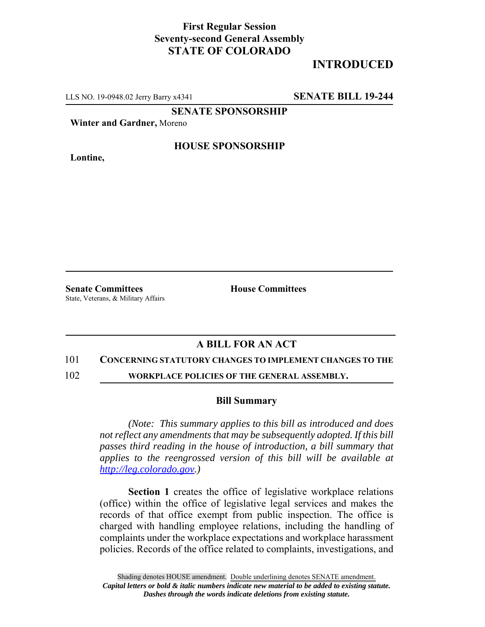## **First Regular Session Seventy-second General Assembly STATE OF COLORADO**

# **INTRODUCED**

LLS NO. 19-0948.02 Jerry Barry x4341 **SENATE BILL 19-244**

**SENATE SPONSORSHIP**

**Winter and Gardner,** Moreno

**Lontine,**

### **HOUSE SPONSORSHIP**

**Senate Committees House Committees** State, Veterans, & Military Affairs

### **A BILL FOR AN ACT**

#### 101 **CONCERNING STATUTORY CHANGES TO IMPLEMENT CHANGES TO THE**

102 **WORKPLACE POLICIES OF THE GENERAL ASSEMBLY.**

#### **Bill Summary**

*(Note: This summary applies to this bill as introduced and does not reflect any amendments that may be subsequently adopted. If this bill passes third reading in the house of introduction, a bill summary that applies to the reengrossed version of this bill will be available at http://leg.colorado.gov.)*

**Section 1** creates the office of legislative workplace relations (office) within the office of legislative legal services and makes the records of that office exempt from public inspection. The office is charged with handling employee relations, including the handling of complaints under the workplace expectations and workplace harassment policies. Records of the office related to complaints, investigations, and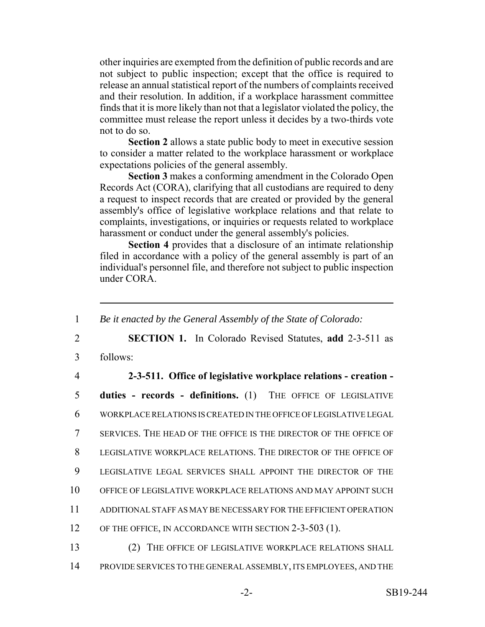other inquiries are exempted from the definition of public records and are not subject to public inspection; except that the office is required to release an annual statistical report of the numbers of complaints received and their resolution. In addition, if a workplace harassment committee finds that it is more likely than not that a legislator violated the policy, the committee must release the report unless it decides by a two-thirds vote not to do so.

**Section 2** allows a state public body to meet in executive session to consider a matter related to the workplace harassment or workplace expectations policies of the general assembly.

**Section 3** makes a conforming amendment in the Colorado Open Records Act (CORA), clarifying that all custodians are required to deny a request to inspect records that are created or provided by the general assembly's office of legislative workplace relations and that relate to complaints, investigations, or inquiries or requests related to workplace harassment or conduct under the general assembly's policies.

**Section 4** provides that a disclosure of an intimate relationship filed in accordance with a policy of the general assembly is part of an individual's personnel file, and therefore not subject to public inspection under CORA.

 *Be it enacted by the General Assembly of the State of Colorado:* **SECTION 1.** In Colorado Revised Statutes, **add** 2-3-511 as 3 follows: **2-3-511. Office of legislative workplace relations - creation - duties - records - definitions.** (1) THE OFFICE OF LEGISLATIVE WORKPLACE RELATIONS IS CREATED IN THE OFFICE OF LEGISLATIVE LEGAL SERVICES. THE HEAD OF THE OFFICE IS THE DIRECTOR OF THE OFFICE OF LEGISLATIVE WORKPLACE RELATIONS. THE DIRECTOR OF THE OFFICE OF LEGISLATIVE LEGAL SERVICES SHALL APPOINT THE DIRECTOR OF THE OFFICE OF LEGISLATIVE WORKPLACE RELATIONS AND MAY APPOINT SUCH ADDITIONAL STAFF AS MAY BE NECESSARY FOR THE EFFICIENT OPERATION 12 OF THE OFFICE, IN ACCORDANCE WITH SECTION 2-3-503 (1). (2) THE OFFICE OF LEGISLATIVE WORKPLACE RELATIONS SHALL

14 PROVIDE SERVICES TO THE GENERAL ASSEMBLY, ITS EMPLOYEES, AND THE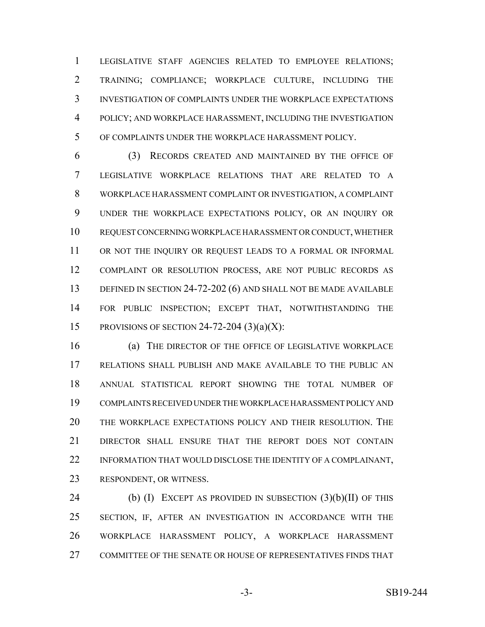LEGISLATIVE STAFF AGENCIES RELATED TO EMPLOYEE RELATIONS; TRAINING; COMPLIANCE; WORKPLACE CULTURE, INCLUDING THE INVESTIGATION OF COMPLAINTS UNDER THE WORKPLACE EXPECTATIONS POLICY; AND WORKPLACE HARASSMENT, INCLUDING THE INVESTIGATION OF COMPLAINTS UNDER THE WORKPLACE HARASSMENT POLICY.

 (3) RECORDS CREATED AND MAINTAINED BY THE OFFICE OF LEGISLATIVE WORKPLACE RELATIONS THAT ARE RELATED TO A WORKPLACE HARASSMENT COMPLAINT OR INVESTIGATION, A COMPLAINT UNDER THE WORKPLACE EXPECTATIONS POLICY, OR AN INQUIRY OR REQUEST CONCERNING WORKPLACE HARASSMENT OR CONDUCT, WHETHER 11 OR NOT THE INQUIRY OR REQUEST LEADS TO A FORMAL OR INFORMAL COMPLAINT OR RESOLUTION PROCESS, ARE NOT PUBLIC RECORDS AS 13 DEFINED IN SECTION 24-72-202 (6) AND SHALL NOT BE MADE AVAILABLE FOR PUBLIC INSPECTION; EXCEPT THAT, NOTWITHSTANDING THE 15 PROVISIONS OF SECTION 24-72-204  $(3)(a)(X)$ :

 (a) THE DIRECTOR OF THE OFFICE OF LEGISLATIVE WORKPLACE RELATIONS SHALL PUBLISH AND MAKE AVAILABLE TO THE PUBLIC AN ANNUAL STATISTICAL REPORT SHOWING THE TOTAL NUMBER OF COMPLAINTS RECEIVED UNDER THE WORKPLACE HARASSMENT POLICY AND THE WORKPLACE EXPECTATIONS POLICY AND THEIR RESOLUTION. THE DIRECTOR SHALL ENSURE THAT THE REPORT DOES NOT CONTAIN 22 INFORMATION THAT WOULD DISCLOSE THE IDENTITY OF A COMPLAINANT, RESPONDENT, OR WITNESS.

24 (b) (I) EXCEPT AS PROVIDED IN SUBSECTION (3)(b)(II) OF THIS SECTION, IF, AFTER AN INVESTIGATION IN ACCORDANCE WITH THE WORKPLACE HARASSMENT POLICY, A WORKPLACE HARASSMENT COMMITTEE OF THE SENATE OR HOUSE OF REPRESENTATIVES FINDS THAT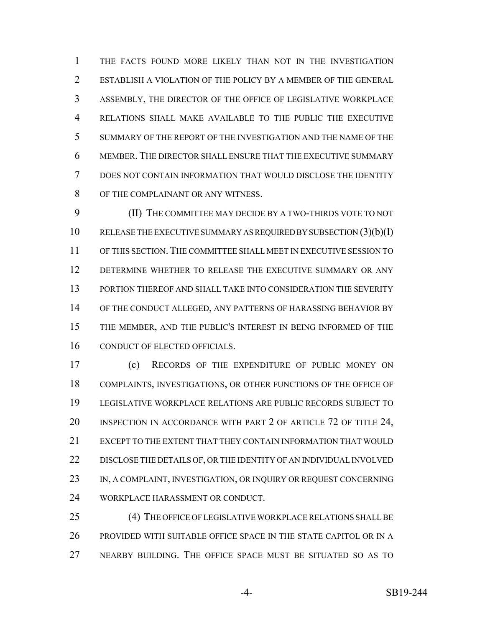THE FACTS FOUND MORE LIKELY THAN NOT IN THE INVESTIGATION ESTABLISH A VIOLATION OF THE POLICY BY A MEMBER OF THE GENERAL ASSEMBLY, THE DIRECTOR OF THE OFFICE OF LEGISLATIVE WORKPLACE RELATIONS SHALL MAKE AVAILABLE TO THE PUBLIC THE EXECUTIVE SUMMARY OF THE REPORT OF THE INVESTIGATION AND THE NAME OF THE MEMBER. THE DIRECTOR SHALL ENSURE THAT THE EXECUTIVE SUMMARY DOES NOT CONTAIN INFORMATION THAT WOULD DISCLOSE THE IDENTITY OF THE COMPLAINANT OR ANY WITNESS.

 (II) THE COMMITTEE MAY DECIDE BY A TWO-THIRDS VOTE TO NOT 10 RELEASE THE EXECUTIVE SUMMARY AS REQUIRED BY SUBSECTION (3)(b)(I) OF THIS SECTION.THE COMMITTEE SHALL MEET IN EXECUTIVE SESSION TO DETERMINE WHETHER TO RELEASE THE EXECUTIVE SUMMARY OR ANY PORTION THEREOF AND SHALL TAKE INTO CONSIDERATION THE SEVERITY OF THE CONDUCT ALLEGED, ANY PATTERNS OF HARASSING BEHAVIOR BY THE MEMBER, AND THE PUBLIC'S INTEREST IN BEING INFORMED OF THE CONDUCT OF ELECTED OFFICIALS.

 (c) RECORDS OF THE EXPENDITURE OF PUBLIC MONEY ON COMPLAINTS, INVESTIGATIONS, OR OTHER FUNCTIONS OF THE OFFICE OF LEGISLATIVE WORKPLACE RELATIONS ARE PUBLIC RECORDS SUBJECT TO 20 INSPECTION IN ACCORDANCE WITH PART 2 OF ARTICLE 72 OF TITLE 24, EXCEPT TO THE EXTENT THAT THEY CONTAIN INFORMATION THAT WOULD DISCLOSE THE DETAILS OF, OR THE IDENTITY OF AN INDIVIDUAL INVOLVED 23 IN, A COMPLAINT, INVESTIGATION, OR INQUIRY OR REQUEST CONCERNING WORKPLACE HARASSMENT OR CONDUCT.

 (4) THE OFFICE OF LEGISLATIVE WORKPLACE RELATIONS SHALL BE PROVIDED WITH SUITABLE OFFICE SPACE IN THE STATE CAPITOL OR IN A NEARBY BUILDING. THE OFFICE SPACE MUST BE SITUATED SO AS TO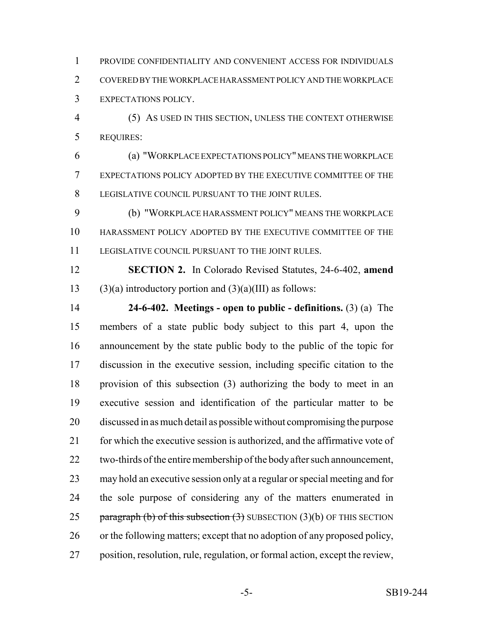PROVIDE CONFIDENTIALITY AND CONVENIENT ACCESS FOR INDIVIDUALS COVERED BY THE WORKPLACE HARASSMENT POLICY AND THE WORKPLACE EXPECTATIONS POLICY.

 (5) AS USED IN THIS SECTION, UNLESS THE CONTEXT OTHERWISE REQUIRES:

 (a) "WORKPLACE EXPECTATIONS POLICY" MEANS THE WORKPLACE EXPECTATIONS POLICY ADOPTED BY THE EXECUTIVE COMMITTEE OF THE LEGISLATIVE COUNCIL PURSUANT TO THE JOINT RULES.

 (b) "WORKPLACE HARASSMENT POLICY" MEANS THE WORKPLACE HARASSMENT POLICY ADOPTED BY THE EXECUTIVE COMMITTEE OF THE LEGISLATIVE COUNCIL PURSUANT TO THE JOINT RULES.

 **SECTION 2.** In Colorado Revised Statutes, 24-6-402, **amend** 13 (3)(a) introductory portion and  $(3)(a)(III)$  as follows:

 **24-6-402. Meetings - open to public - definitions.** (3) (a) The members of a state public body subject to this part 4, upon the announcement by the state public body to the public of the topic for discussion in the executive session, including specific citation to the provision of this subsection (3) authorizing the body to meet in an executive session and identification of the particular matter to be discussed in as much detail as possible without compromising the purpose 21 for which the executive session is authorized, and the affirmative vote of two-thirds of the entire membership of the body after such announcement, may hold an executive session only at a regular or special meeting and for the sole purpose of considering any of the matters enumerated in 25 paragraph (b) of this subsection  $(3)$  SUBSECTION  $(3)(b)$  OF THIS SECTION or the following matters; except that no adoption of any proposed policy, position, resolution, rule, regulation, or formal action, except the review,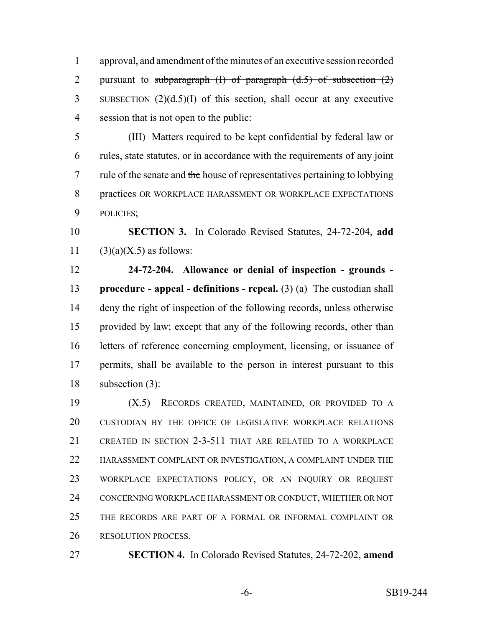approval, and amendment of the minutes of an executive session recorded 2 pursuant to subparagraph  $(I)$  of paragraph  $(d.5)$  of subsection  $(2)$  SUBSECTION (2)(d.5)(I) of this section, shall occur at any executive session that is not open to the public:

 (III) Matters required to be kept confidential by federal law or rules, state statutes, or in accordance with the requirements of any joint 7 rule of the senate and the house of representatives pertaining to lobbying practices OR WORKPLACE HARASSMENT OR WORKPLACE EXPECTATIONS POLICIES;

 **SECTION 3.** In Colorado Revised Statutes, 24-72-204, **add** 11  $(3)(a)(X.5)$  as follows:

 **24-72-204. Allowance or denial of inspection - grounds - procedure - appeal - definitions - repeal.** (3) (a) The custodian shall deny the right of inspection of the following records, unless otherwise provided by law; except that any of the following records, other than letters of reference concerning employment, licensing, or issuance of permits, shall be available to the person in interest pursuant to this subsection (3):

 (X.5) RECORDS CREATED, MAINTAINED, OR PROVIDED TO A CUSTODIAN BY THE OFFICE OF LEGISLATIVE WORKPLACE RELATIONS CREATED IN SECTION 2-3-511 THAT ARE RELATED TO A WORKPLACE HARASSMENT COMPLAINT OR INVESTIGATION, A COMPLAINT UNDER THE WORKPLACE EXPECTATIONS POLICY, OR AN INQUIRY OR REQUEST CONCERNING WORKPLACE HARASSMENT OR CONDUCT, WHETHER OR NOT THE RECORDS ARE PART OF A FORMAL OR INFORMAL COMPLAINT OR RESOLUTION PROCESS.

**SECTION 4.** In Colorado Revised Statutes, 24-72-202, **amend**